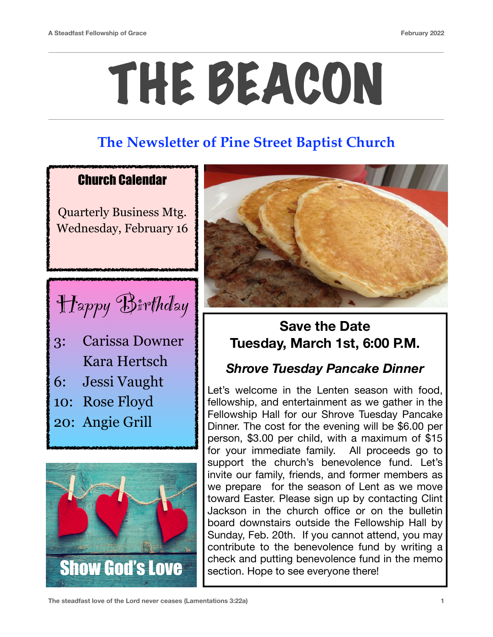# THE BEACON

## **The Newsletter of Pine Street Baptist Church**

#### Church Calendar

Quarterly Business Mtg. Wednesday, February 16



- 3: Carissa Downer Kara Hertsch
- 6: Jessi Vaught
- 10: Rose Floyd
- 20: Angie Grill





### **Save the Date Tuesday, March 1st, 6:00 P.M.**

### *Shrove Tuesday Pancake Dinner*

Let's welcome in the Lenten season with food, fellowship, and entertainment as we gather in the Fellowship Hall for our Shrove Tuesday Pancake Dinner. The cost for the evening will be \$6.00 per person, \$3.00 per child, with a maximum of \$15 for your immediate family. All proceeds go to support the church's benevolence fund. Let's invite our family, friends, and former members as we prepare for the season of Lent as we move toward Easter. Please sign up by contacting Clint Jackson in the church office or on the bulletin board downstairs outside the Fellowship Hall by Sunday, Feb. 20th. If you cannot attend, you may contribute to the benevolence fund by writing a Show God's Love Show Show God's Love section. Hope to see everyone there!